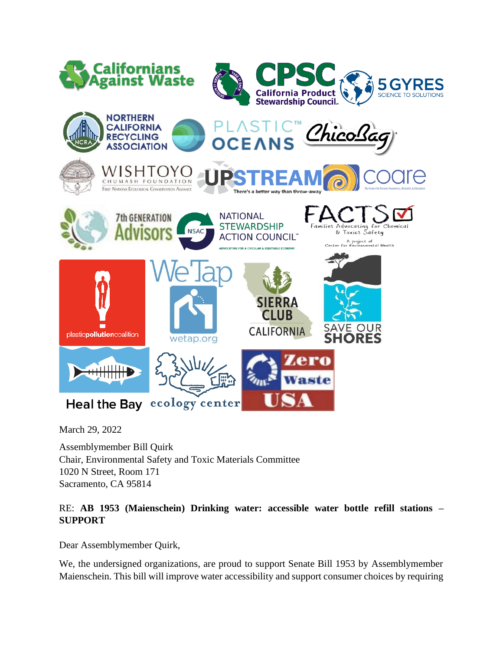

March 29, 2022

Assemblymember Bill Quirk Chair, Environmental Safety and Toxic Materials Committee 1020 N Street, Room 171 Sacramento, CA 95814

## RE: **AB 1953 (Maienschein) Drinking water: accessible water bottle refill stations – SUPPORT**

Dear Assemblymember Quirk,

We, the undersigned organizations, are proud to support Senate Bill 1953 by Assemblymember Maienschein. This bill will improve water accessibility and support consumer choices by requiring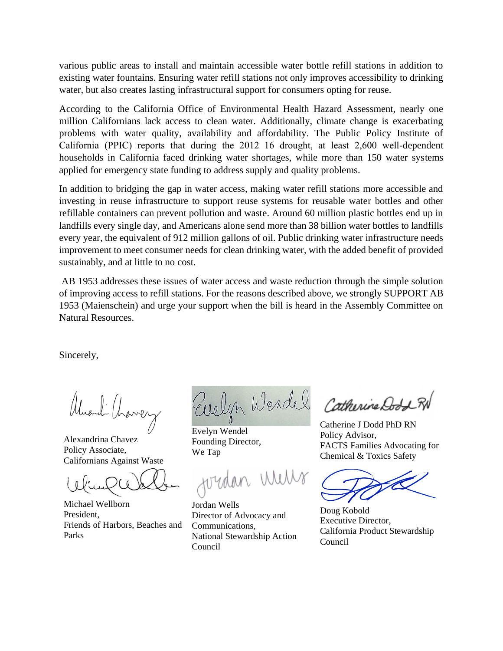various public areas to install and maintain accessible water bottle refill stations in addition to existing water fountains. Ensuring water refill stations not only improves accessibility to drinking water, but also creates lasting infrastructural support for consumers opting for reuse.

According to the California Office of Environmental Health Hazard Assessment, nearly one million Californians lack access to clean water. Additionally, climate change is exacerbating problems with water quality, availability and affordability. The Public Policy Institute of California (PPIC) reports that during the  $2012-16$  drought, at least  $2,600$  well-dependent households in California faced drinking water shortages, while more than 150 water systems applied for emergency state funding to address supply and quality problems.

In addition to bridging the gap in water access, making water refill stations more accessible and investing in reuse infrastructure to support reuse systems for reusable water bottles and other refillable containers can prevent pollution and waste. Around 60 million plastic bottles end up in landfills every single day, and Americans alone send more than 38 billion water bottles to landfills every year, the equivalent of 912 million gallons of oil. Public drinking water infrastructure needs improvement to meet consumer needs for clean drinking water, with the added benefit of provided sustainably, and at little to no cost.

AB 1953 addresses these issues of water access and waste reduction through the simple solution of improving access to refill stations. For the reasons described above, we strongly SUPPORT AB 1953 (Maienschein) and urge your support when the bill is heard in the Assembly Committee on Natural Resources.

Sincerely,

Alexandrina Chavez Policy Associate, Californians Against Waste

Michael Wellborn President, Friends of Harbors, Beaches and Parks

Evelyn Werdel

Evelyn Wendel Founding Director, We Tap

Jordan Wells Director of Advocacy and Communications, National Stewardship Action Council

Catherine Do

Catherine J Dodd PhD RN Policy Advisor, FACTS Families Advocating for Chemical & Toxics Safety

Doug Kobold Executive Director, California Product Stewardship Council